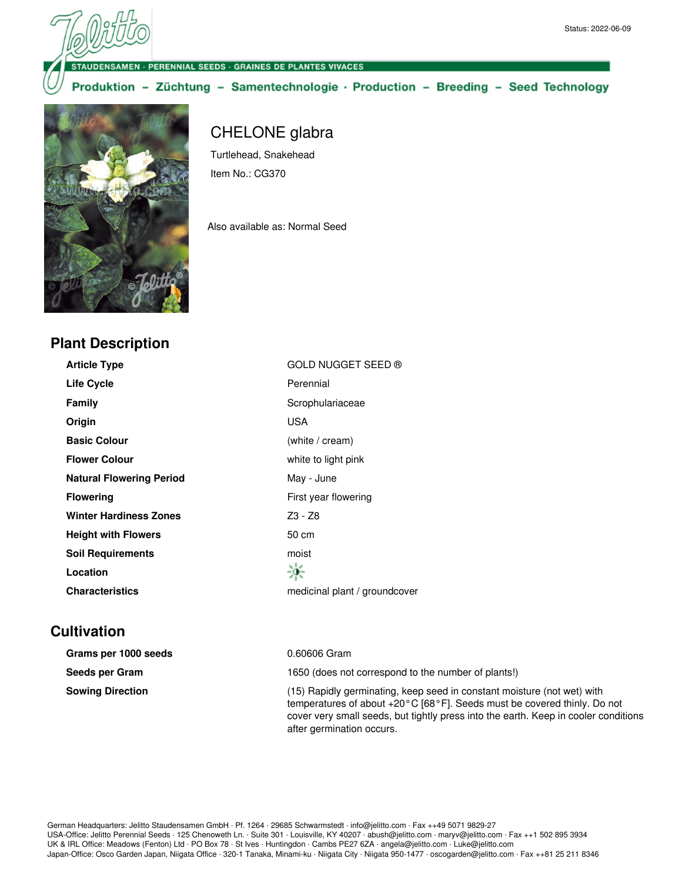**NSAMEN - PERENNIAL SEEDS - GRAINES DE PLANTES VIVACES** 

Produktion - Züchtung - Samentechnologie · Production - Breeding - Seed Technology



**Plant Description**

## CHELONE glabra

Turtlehead, Snakehead Item No.: CG370

Also available as: Normal Seed

| GOLD NUGGET SEED ®            |
|-------------------------------|
| Perennial                     |
| Scrophulariaceae              |
| <b>USA</b>                    |
| (white / cream)               |
| white to light pink           |
| May - June                    |
| First year flowering          |
| Z3 - Z8                       |
| 50 cm                         |
| moist                         |
|                               |
| medicinal plant / groundcover |
|                               |

## **Cultivation**

| Grams per 1000 seeds    | 0.60606 Gram                                                                                                                                                                                                                               |
|-------------------------|--------------------------------------------------------------------------------------------------------------------------------------------------------------------------------------------------------------------------------------------|
| Seeds per Gram          | 1650 (does not correspond to the number of plants!)                                                                                                                                                                                        |
| <b>Sowing Direction</b> | (15) Rapidly germinating, keep seed in constant moisture (not wet) with<br>temperatures of about +20°C [68°F]. Seeds must be covered thinly. Do not<br>cover very small seeds, but tightly press into the earth. Keep in cooler conditions |

after germination occurs.